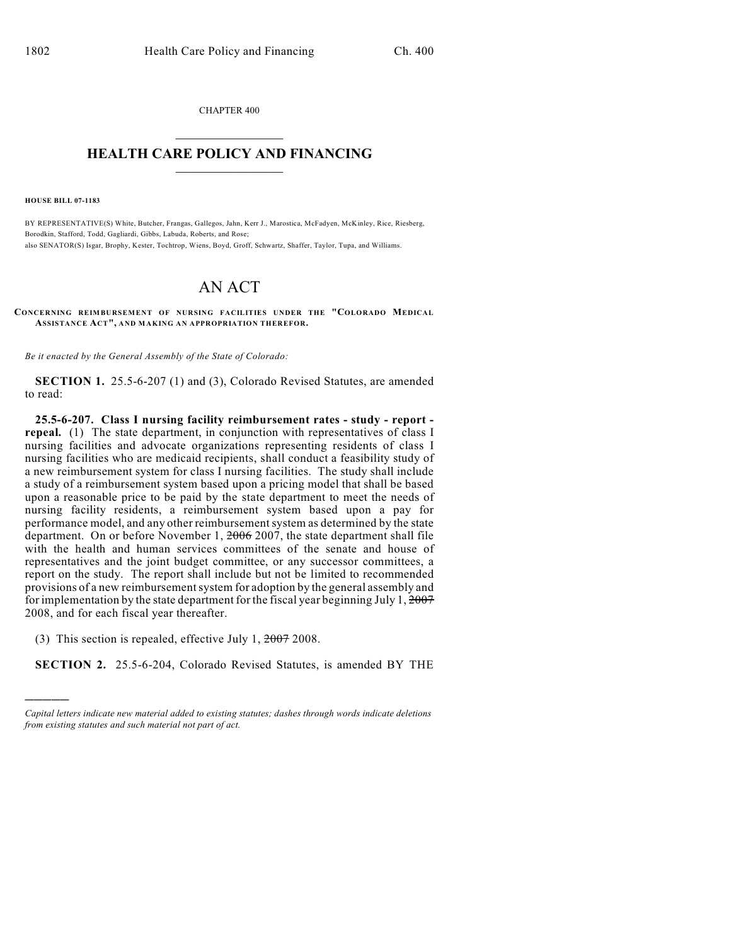CHAPTER 400  $\mathcal{L}_\text{max}$  . The set of the set of the set of the set of the set of the set of the set of the set of the set of the set of the set of the set of the set of the set of the set of the set of the set of the set of the set

## **HEALTH CARE POLICY AND FINANCING**  $\_$   $\_$   $\_$   $\_$   $\_$   $\_$   $\_$   $\_$

**HOUSE BILL 07-1183**

)))))

BY REPRESENTATIVE(S) White, Butcher, Frangas, Gallegos, Jahn, Kerr J., Marostica, McFadyen, McKinley, Rice, Riesberg, Borodkin, Stafford, Todd, Gagliardi, Gibbs, Labuda, Roberts, and Rose; also SENATOR(S) Isgar, Brophy, Kester, Tochtrop, Wiens, Boyd, Groff, Schwartz, Shaffer, Taylor, Tupa, and Williams.

## AN ACT

**CONCERNING REIMBURSEMENT OF NURSING FACILITIES UNDER THE "COLORADO MEDICAL ASSISTANCE ACT", AND MAKING AN APPROPRIATION THEREFOR.**

*Be it enacted by the General Assembly of the State of Colorado:*

**SECTION 1.** 25.5-6-207 (1) and (3), Colorado Revised Statutes, are amended to read:

**25.5-6-207. Class I nursing facility reimbursement rates - study - report repeal.** (1) The state department, in conjunction with representatives of class I nursing facilities and advocate organizations representing residents of class I nursing facilities who are medicaid recipients, shall conduct a feasibility study of a new reimbursement system for class I nursing facilities. The study shall include a study of a reimbursement system based upon a pricing model that shall be based upon a reasonable price to be paid by the state department to meet the needs of nursing facility residents, a reimbursement system based upon a pay for performance model, and any other reimbursement system as determined by the state department. On or before November 1, 2006 2007, the state department shall file with the health and human services committees of the senate and house of representatives and the joint budget committee, or any successor committees, a report on the study. The report shall include but not be limited to recommended provisions of a new reimbursement system for adoption by the general assembly and for implementation by the state department for the fiscal year beginning July 1,  $2007$ 2008, and for each fiscal year thereafter.

(3) This section is repealed, effective July 1, 2007 2008.

**SECTION 2.** 25.5-6-204, Colorado Revised Statutes, is amended BY THE

*Capital letters indicate new material added to existing statutes; dashes through words indicate deletions from existing statutes and such material not part of act.*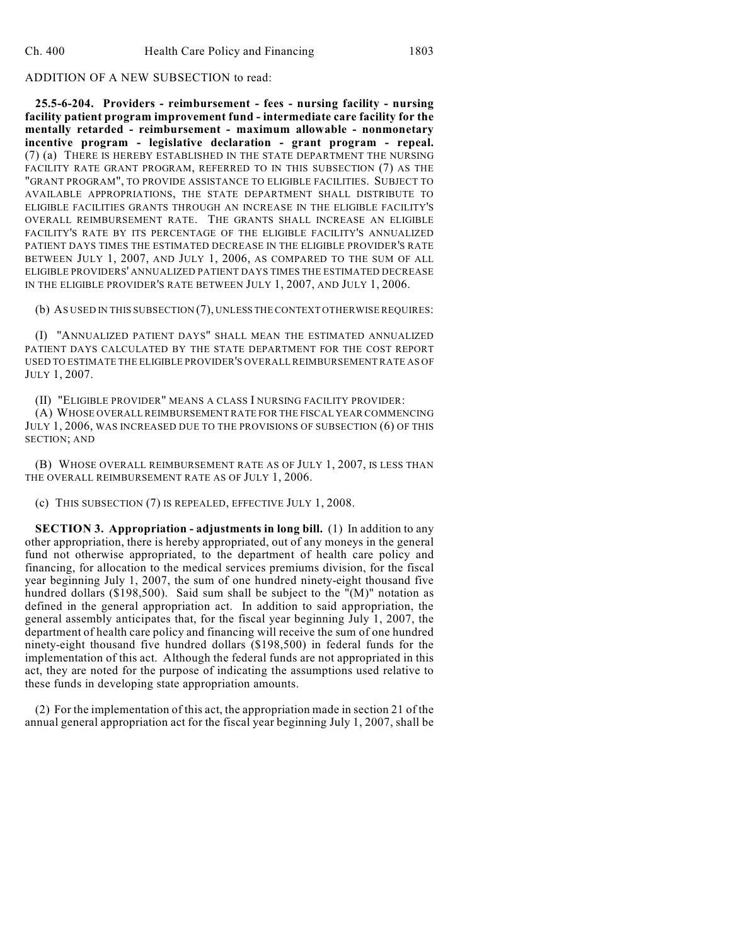## ADDITION OF A NEW SUBSECTION to read:

**25.5-6-204. Providers - reimbursement - fees - nursing facility - nursing facility patient program improvement fund - intermediate care facility for the mentally retarded - reimbursement - maximum allowable - nonmonetary incentive program - legislative declaration - grant program - repeal.** (7) (a) THERE IS HEREBY ESTABLISHED IN THE STATE DEPARTMENT THE NURSING FACILITY RATE GRANT PROGRAM, REFERRED TO IN THIS SUBSECTION (7) AS THE "GRANT PROGRAM", TO PROVIDE ASSISTANCE TO ELIGIBLE FACILITIES. SUBJECT TO AVAILABLE APPROPRIATIONS, THE STATE DEPARTMENT SHALL DISTRIBUTE TO ELIGIBLE FACILITIES GRANTS THROUGH AN INCREASE IN THE ELIGIBLE FACILITY'S OVERALL REIMBURSEMENT RATE. THE GRANTS SHALL INCREASE AN ELIGIBLE FACILITY'S RATE BY ITS PERCENTAGE OF THE ELIGIBLE FACILITY'S ANNUALIZED PATIENT DAYS TIMES THE ESTIMATED DECREASE IN THE ELIGIBLE PROVIDER'S RATE BETWEEN JULY 1, 2007, AND JULY 1, 2006, AS COMPARED TO THE SUM OF ALL ELIGIBLE PROVIDERS' ANNUALIZED PATIENT DAYS TIMES THE ESTIMATED DECREASE IN THE ELIGIBLE PROVIDER'S RATE BETWEEN JULY 1, 2007, AND JULY 1, 2006.

(b) AS USED IN THIS SUBSECTION (7), UNLESS THE CONTEXT OTHERWISE REQUIRES:

(I) "ANNUALIZED PATIENT DAYS" SHALL MEAN THE ESTIMATED ANNUALIZED PATIENT DAYS CALCULATED BY THE STATE DEPARTMENT FOR THE COST REPORT USED TO ESTIMATE THE ELIGIBLE PROVIDER'S OVERALL REIMBURSEMENT RATE AS OF JULY 1, 2007.

(II) "ELIGIBLE PROVIDER" MEANS A CLASS I NURSING FACILITY PROVIDER:

(A) WHOSE OVERALL REIMBURSEMENT RATE FOR THE FISCAL YEAR COMMENCING JULY 1, 2006, WAS INCREASED DUE TO THE PROVISIONS OF SUBSECTION (6) OF THIS SECTION; AND

(B) WHOSE OVERALL REIMBURSEMENT RATE AS OF JULY 1, 2007, IS LESS THAN THE OVERALL REIMBURSEMENT RATE AS OF JULY 1, 2006.

(c) THIS SUBSECTION (7) IS REPEALED, EFFECTIVE JULY 1, 2008.

**SECTION 3. Appropriation - adjustments in long bill.** (1) In addition to any other appropriation, there is hereby appropriated, out of any moneys in the general fund not otherwise appropriated, to the department of health care policy and financing, for allocation to the medical services premiums division, for the fiscal year beginning July 1, 2007, the sum of one hundred ninety-eight thousand five hundred dollars (\$198,500). Said sum shall be subject to the "(M)" notation as defined in the general appropriation act. In addition to said appropriation, the general assembly anticipates that, for the fiscal year beginning July 1, 2007, the department of health care policy and financing will receive the sum of one hundred ninety-eight thousand five hundred dollars (\$198,500) in federal funds for the implementation of this act. Although the federal funds are not appropriated in this act, they are noted for the purpose of indicating the assumptions used relative to these funds in developing state appropriation amounts.

(2) For the implementation of this act, the appropriation made in section 21 of the annual general appropriation act for the fiscal year beginning July 1, 2007, shall be